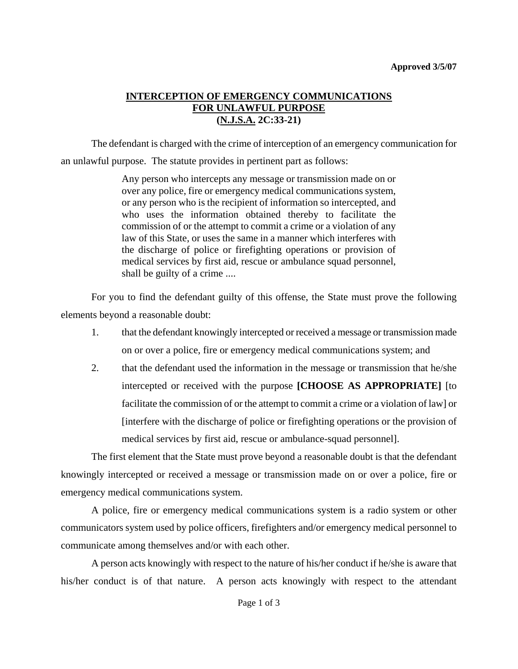## **INTERCEPTION OF EMERGENCY COMMUNICATIONS FOR UNLAWFUL PURPOSE (N.J.S.A. 2C:33-21)**

The defendant is charged with the crime of interception of an emergency communication for an unlawful purpose. The statute provides in pertinent part as follows:

> Any person who intercepts any message or transmission made on or over any police, fire or emergency medical communications system, or any person who is the recipient of information so intercepted, and who uses the information obtained thereby to facilitate the commission of or the attempt to commit a crime or a violation of any law of this State, or uses the same in a manner which interferes with the discharge of police or firefighting operations or provision of medical services by first aid, rescue or ambulance squad personnel, shall be guilty of a crime ....

For you to find the defendant guilty of this offense, the State must prove the following elements beyond a reasonable doubt:

- 1. that the defendant knowingly intercepted or received a message or transmission made on or over a police, fire or emergency medical communications system; and
- 2. that the defendant used the information in the message or transmission that he/she intercepted or received with the purpose **[CHOOSE AS APPROPRIATE]** [to facilitate the commission of or the attempt to commit a crime or a violation of law] or [interfere with the discharge of police or firefighting operations or the provision of medical services by first aid, rescue or ambulance-squad personnel].

The first element that the State must prove beyond a reasonable doubt is that the defendant knowingly intercepted or received a message or transmission made on or over a police, fire or emergency medical communications system.

A police, fire or emergency medical communications system is a radio system or other communicators system used by police officers, firefighters and/or emergency medical personnel to communicate among themselves and/or with each other.

<span id="page-0-0"></span>A person acts knowingly with respect to the nature of his/her conduct if he/she is aware that his/her conduct is of that nature. A person acts knowingly with respect to the attendant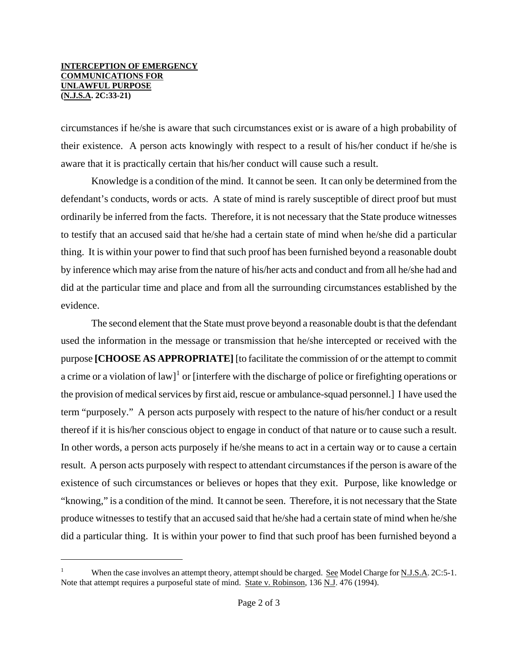## **INTERCEPTION OF EMERGENCY COMMUNICATIONS FOR UNLAWFUL PURPOSE (N.J.S.A. 2C:33-21)**

ł

circumstances if he/she is aware that such circumstances exist or is aware of a high probability of their existence. A person acts knowingly with respect to a result of his/her conduct if he/she is aware that it is practically certain that his/her conduct will cause such a result.

Knowledge is a condition of the mind. It cannot be seen. It can only be determined from the defendant's conducts, words or acts. A state of mind is rarely susceptible of direct proof but must ordinarily be inferred from the facts. Therefore, it is not necessary that the State produce witnesses to testify that an accused said that he/she had a certain state of mind when he/she did a particular thing. It is within your power to find that such proof has been furnished beyond a reasonable doubt by inference which may arise from the nature of his/her acts and conduct and from all he/she had and did at the particular time and place and from all the surrounding circumstances established by the evidence.

The second element that the State must prove beyond a reasonable doubt is that the defendant used the information in the message or transmission that he/she intercepted or received with the purpose **[CHOOSE AS APPROPRIATE]** [to facilitate the commission of or the attempt to commit a crime or a violation of law]<sup>[1](#page-0-0)</sup> or [interfere with the discharge of police or firefighting operations or the provision of medical services by first aid, rescue or ambulance-squad personnel.] I have used the term "purposely." A person acts purposely with respect to the nature of his/her conduct or a result thereof if it is his/her conscious object to engage in conduct of that nature or to cause such a result. In other words, a person acts purposely if he/she means to act in a certain way or to cause a certain result. A person acts purposely with respect to attendant circumstances if the person is aware of the existence of such circumstances or believes or hopes that they exit. Purpose, like knowledge or "knowing," is a condition of the mind. It cannot be seen. Therefore, it is not necessary that the State produce witnesses to testify that an accused said that he/she had a certain state of mind when he/she did a particular thing. It is within your power to find that such proof has been furnished beyond a

<span id="page-1-0"></span><sup>1</sup> When the case involves an attempt theory, attempt should be charged. See Model Charge for N.J.S.A. 2C:5-1. Note that attempt requires a purposeful state of mind. State v. Robinson, 136 N.J. 476 (1994).